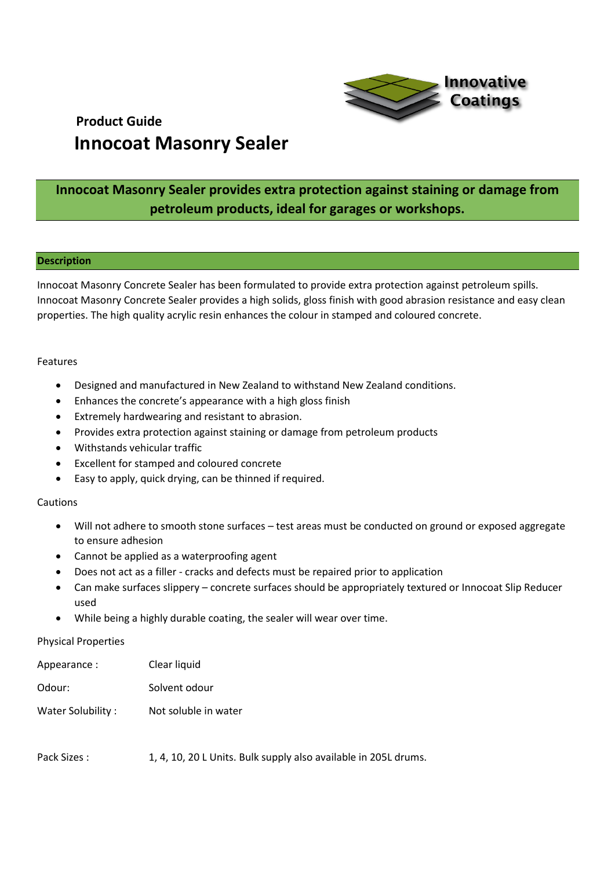

### **Innocoat Masonry Sealer provides extra protection against staining or damage from petroleum products, ideal for garages or workshops.**

#### **Description**

Innocoat Masonry Concrete Sealer has been formulated to provide extra protection against petroleum spills. Innocoat Masonry Concrete Sealer provides a high solids, gloss finish with good abrasion resistance and easy clean properties. The high quality acrylic resin enhances the colour in stamped and coloured concrete.

#### Features

- Designed and manufactured in New Zealand to withstand New Zealand conditions.
- Enhances the concrete's appearance with a high gloss finish
- Extremely hardwearing and resistant to abrasion.
- Provides extra protection against staining or damage from petroleum products
- Withstands vehicular traffic
- Excellent for stamped and coloured concrete
- Easy to apply, quick drying, can be thinned if required.

#### Cautions

- Will not adhere to smooth stone surfaces test areas must be conducted on ground or exposed aggregate to ensure adhesion
- Cannot be applied as a waterproofing agent
- Does not act as a filler cracks and defects must be repaired prior to application
- Can make surfaces slippery concrete surfaces should be appropriately textured or Innocoat Slip Reducer used
- While being a highly durable coating, the sealer will wear over time.

#### Physical Properties

| Appearance:       | Clear liquid         |
|-------------------|----------------------|
| Odour:            | Solvent odour        |
| Water Solubility: | Not soluble in water |
|                   |                      |

Pack Sizes : 1, 4, 10, 20 L Units. Bulk supply also available in 205L drums.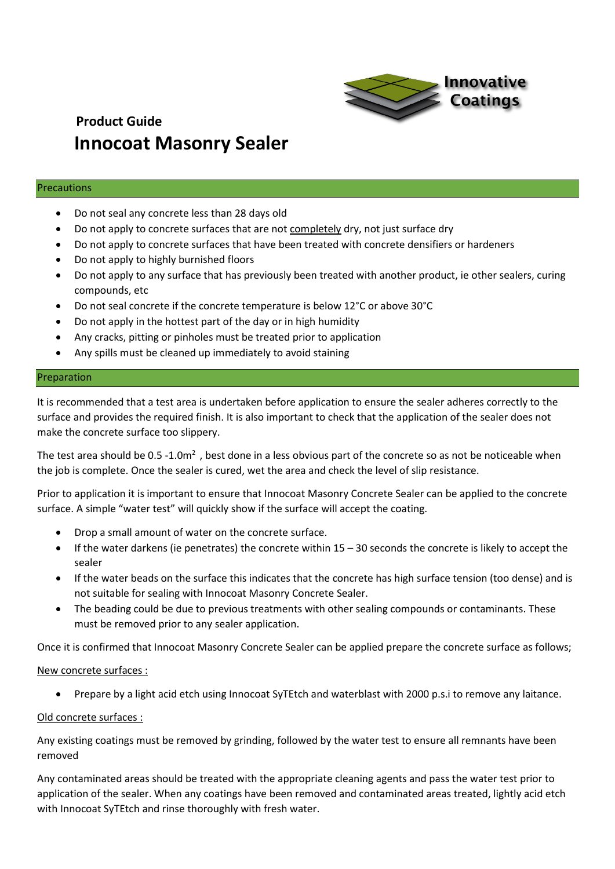

#### Precautions

- Do not seal any concrete less than 28 days old
- Do not apply to concrete surfaces that are not completely dry, not just surface dry
- Do not apply to concrete surfaces that have been treated with concrete densifiers or hardeners
- Do not apply to highly burnished floors
- Do not apply to any surface that has previously been treated with another product, ie other sealers, curing compounds, etc
- Do not seal concrete if the concrete temperature is below 12°C or above 30°C
- Do not apply in the hottest part of the day or in high humidity
- Any cracks, pitting or pinholes must be treated prior to application
- Any spills must be cleaned up immediately to avoid staining

#### Preparation

It is recommended that a test area is undertaken before application to ensure the sealer adheres correctly to the surface and provides the required finish. It is also important to check that the application of the sealer does not make the concrete surface too slippery.

The test area should be  $0.5 - 1.0m<sup>2</sup>$ , best done in a less obvious part of the concrete so as not be noticeable when the job is complete. Once the sealer is cured, wet the area and check the level of slip resistance.

Prior to application it is important to ensure that Innocoat Masonry Concrete Sealer can be applied to the concrete surface. A simple "water test" will quickly show if the surface will accept the coating.

- Drop a small amount of water on the concrete surface.
- $\bullet$  If the water darkens (ie penetrates) the concrete within 15 30 seconds the concrete is likely to accept the sealer
- If the water beads on the surface this indicates that the concrete has high surface tension (too dense) and is not suitable for sealing with Innocoat Masonry Concrete Sealer.
- The beading could be due to previous treatments with other sealing compounds or contaminants. These must be removed prior to any sealer application.

Once it is confirmed that Innocoat Masonry Concrete Sealer can be applied prepare the concrete surface as follows;

#### New concrete surfaces :

• Prepare by a light acid etch using Innocoat SyTEtch and waterblast with 2000 p.s.i to remove any laitance.

#### Old concrete surfaces :

Any existing coatings must be removed by grinding, followed by the water test to ensure all remnants have been removed

Any contaminated areas should be treated with the appropriate cleaning agents and pass the water test prior to application of the sealer. When any coatings have been removed and contaminated areas treated, lightly acid etch with Innocoat SyTEtch and rinse thoroughly with fresh water.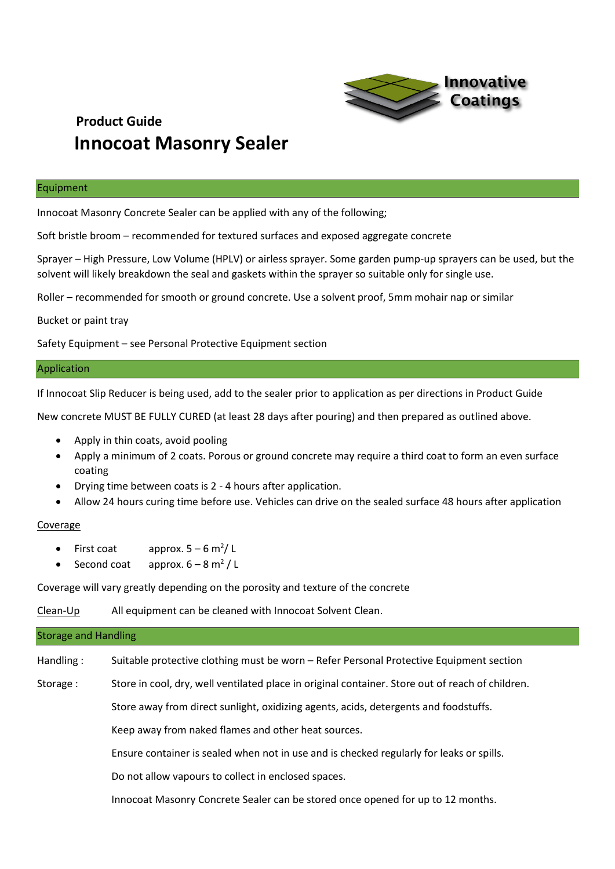

#### Equipment

Innocoat Masonry Concrete Sealer can be applied with any of the following;

Soft bristle broom – recommended for textured surfaces and exposed aggregate concrete

Sprayer – High Pressure, Low Volume (HPLV) or airless sprayer. Some garden pump-up sprayers can be used, but the solvent will likely breakdown the seal and gaskets within the sprayer so suitable only for single use.

Roller – recommended for smooth or ground concrete. Use a solvent proof, 5mm mohair nap or similar

Bucket or paint tray

Safety Equipment – see Personal Protective Equipment section

#### Application

If Innocoat Slip Reducer is being used, add to the sealer prior to application as per directions in Product Guide

New concrete MUST BE FULLY CURED (at least 28 days after pouring) and then prepared as outlined above.

- Apply in thin coats, avoid pooling
- Apply a minimum of 2 coats. Porous or ground concrete may require a third coat to form an even surface coating
- Drying time between coats is 2 4 hours after application.
- Allow 24 hours curing time before use. Vehicles can drive on the sealed surface 48 hours after application

#### Coverage

- First coat approx.  $5 6$  m<sup>2</sup>/L
- Second coat approx.  $6 8$  m<sup>2</sup>/L

Coverage will vary greatly depending on the porosity and texture of the concrete

Clean-Up All equipment can be cleaned with Innocoat Solvent Clean.

# Storage and Handling Handling : Suitable protective clothing must be worn – Refer Personal Protective Equipment section Storage : Store in cool, dry, well ventilated place in original container. Store out of reach of children. Store away from direct sunlight, oxidizing agents, acids, detergents and foodstuffs. Keep away from naked flames and other heat sources. Ensure container is sealed when not in use and is checked regularly for leaks or spills. Do not allow vapours to collect in enclosed spaces. Innocoat Masonry Concrete Sealer can be stored once opened for up to 12 months.